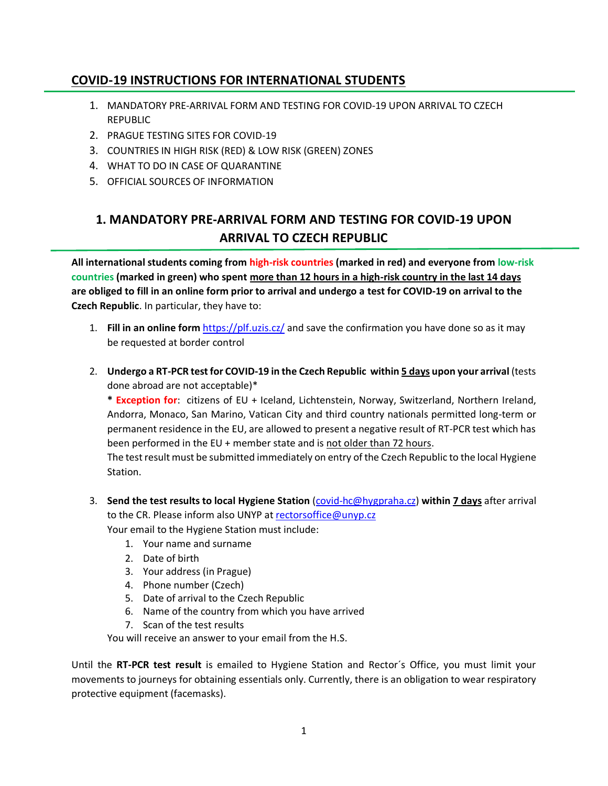## **COVID-19 INSTRUCTIONS FOR INTERNATIONAL STUDENTS**

- 1. MANDATORY PRE-ARRIVAL FORM AND TESTING FOR COVID-19 UPON ARRIVAL TO CZECH REPUBLIC
- 2. PRAGUE TESTING SITES FOR COVID-19
- 3. COUNTRIES IN HIGH RISK (RED) & LOW RISK (GREEN) ZONES
- 4. WHAT TO DO IN CASE OF QUARANTINE
- 5. OFFICIAL SOURCES OF INFORMATION

# **1. MANDATORY PRE-ARRIVAL FORM AND TESTING FOR COVID-19 UPON ARRIVAL TO CZECH REPUBLIC**

**All international students coming from high-risk countries (marked in red) and everyone from low-risk countries (marked in green) who spent more than 12 hours in a high-risk country in the last 14 days are obliged to fill in an online form prior to arrival and undergo a test for COVID-19 on arrival to the Czech Republic**. In particular, they have to:

- 1. **Fill in an online form** <https://plf.uzis.cz/> and save the confirmation you have done so as it may be requested at border control
- 2. **Undergo a RT-PCR test for COVID-19 in the Czech Republic within 5 days upon your arrival** (tests done abroad are not acceptable)\*

**\* Exception for**: citizens of EU + Iceland, Lichtenstein, Norway, Switzerland, Northern Ireland, Andorra, Monaco, San Marino, Vatican City and third country nationals permitted long-term or permanent residence in the EU, are allowed to present a negative result of RT-PCR test which has been performed in the EU + member state and is not older than 72 hours.

The test result must be submitted immediately on entry of the Czech Republic to the local Hygiene Station.

- 3. **Send the test results to local Hygiene Station** [\(covid-hc@hygpraha.cz\)](mailto:covid-hc@hygpraha.cz) **within 7 days** after arrival to the CR. Please inform also UNYP at [rectorsoffice@unyp.cz](mailto:rectorsoffice@unyp.cz) Your email to the Hygiene Station must include:
	- 1. Your name and surname
	- 2. Date of birth
	- 3. Your address (in Prague)
	- 4. Phone number (Czech)
	- 5. Date of arrival to the Czech Republic
	- 6. Name of the country from which you have arrived
	- 7. Scan of the test results

You will receive an answer to your email from the H.S.

Until the **RT-PCR test result** is emailed to Hygiene Station and Rector´s Office, you must limit your movements to journeys for obtaining essentials only. Currently, there is an obligation to wear respiratory protective equipment (facemasks).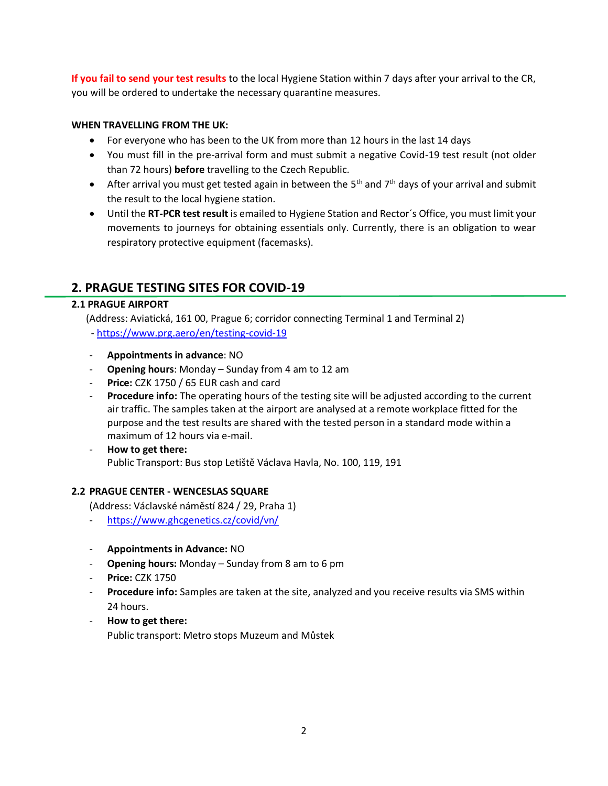**If you fail to send your test results** to the local Hygiene Station within 7 days after your arrival to the CR, you will be ordered to undertake the necessary quarantine measures.

### **WHEN TRAVELLING FROM THE UK:**

- For everyone who has been to the UK from more than 12 hours in the last 14 days
- You must fill in the pre-arrival form and must submit a negative Covid-19 test result (not older than 72 hours) **before** travelling to the Czech Republic.
- After arrival you must get tested again in between the 5<sup>th</sup> and  $7<sup>th</sup>$  days of your arrival and submit the result to the local hygiene station.
- Until the **RT-PCR test result** is emailed to Hygiene Station and Rector´s Office, you must limit your movements to journeys for obtaining essentials only. Currently, there is an obligation to wear respiratory protective equipment (facemasks).

## **2. PRAGUE TESTING SITES FOR COVID-19**

#### **2.1 PRAGUE AIRPORT**

 (Address: Aviatická, 161 00, Prague 6; corridor connecting Terminal 1 and Terminal 2) - <https://www.prg.aero/en/testing-covid-19>

- **Appointments in advance**: NO
- **Opening hours**: Monday Sunday from 4 am to 12 am
- **Price:** CZK 1750 / 65 EUR cash and card
- **Procedure info:** The operating hours of the testing site will be adjusted according to the current air traffic. The samples taken at the airport are analysed at a remote workplace fitted for the purpose and the test results are shared with the tested person in a standard mode within a maximum of 12 hours via e-mail.
- **How to get there:** Public Transport: Bus stop Letiště Václava Havla, No. 100, 119, 191

#### **2.2 PRAGUE CENTER - WENCESLAS SQUARE**

(Address: Václavské náměstí 824 / 29, Praha 1)

- <https://www.ghcgenetics.cz/covid/vn/>
- **Appointments in Advance:** NO
- **Opening hours:** Monday Sunday from 8 am to 6 pm
- **Price: CZK 1750**
- **Procedure info:** Samples are taken at the site, analyzed and you receive results via SMS within 24 hours.
- **How to get there:** Public transport: Metro stops Muzeum and Můstek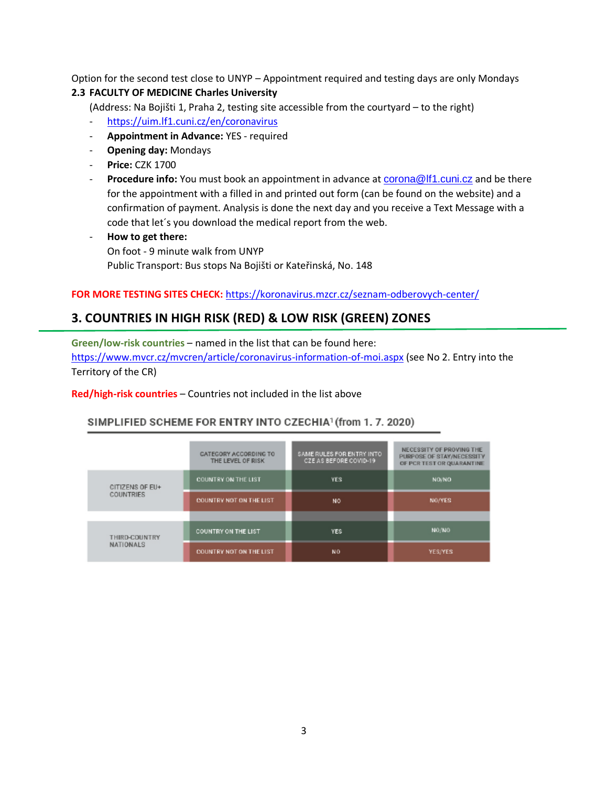Option for the second test close to UNYP – Appointment required and testing days are only Mondays **2.3 FACULTY OF MEDICINE Charles University**

(Address: Na Bojišti 1, Praha 2, testing site accessible from the courtyard – to the right)

- <https://uim.lf1.cuni.cz/en/coronavirus>
- **Appointment in Advance:** YES required
- **Opening day:** Mondays
- **Price:** CZK 1700
- **Procedure info:** You must book an appointment in advance at **[corona@lf1.cuni.cz](mailto:corona@lf1.cuni.cz)** and be there for the appointment with a filled in and printed out form (can be found on the website) and a confirmation of payment. Analysis is done the next day and you receive a Text Message with a code that let´s you download the medical report from the web.
- **How to get there:**  On foot - 9 minute walk from UNYP Public Transport: Bus stops Na Bojišti or Kateřinská, No. 148

#### **FOR MORE TESTING SITES CHECK:** <https://koronavirus.mzcr.cz/seznam-odberovych-center/>

## **3. COUNTRIES IN HIGH RISK (RED) & LOW RISK (GREEN) ZONES**

**Green/low-risk countries** – named in the list that can be found here: <https://www.mvcr.cz/mvcren/article/coronavirus-information-of-moi.aspx> (see No 2. Entry into the Territory of the CR)

**Red/high-risk countries** – Countries not included in the list above

#### SIMPLIFIED SCHEME FOR ENTRY INTO CZECHIA<sup>1</sup> (from 1.7.2020)

|                                   | CATEGORY ACCORDING TO<br>THE LEVEL OF RISK | SAME RULES FOR ENTRY INTO<br>CZE AS BEFORE COVID-19 | NECESSITY OF PROVING THE<br>PURPOSE OF STAY/NECESSITY<br>OF PCR TEST OR QUARANTINE |
|-----------------------------------|--------------------------------------------|-----------------------------------------------------|------------------------------------------------------------------------------------|
| CITIZENS OF EU+<br>COUNTRIES      | <b>COUNTRY ON THE LIST</b>                 | <b>YES</b>                                          | NO/NO                                                                              |
|                                   | <b>COUNTRY NOT ON THE LIST</b>             | <b>NO</b>                                           | NO/YES                                                                             |
|                                   |                                            |                                                     |                                                                                    |
| THIRD-COUNTRY<br><b>NATIONALS</b> | <b>COUNTRY ON THE LIST</b>                 | <b>YES</b>                                          | NO/NO                                                                              |
|                                   | <b>COUNTRY NOT ON THE LIST</b>             | NO.                                                 | <b>YES/YES</b>                                                                     |